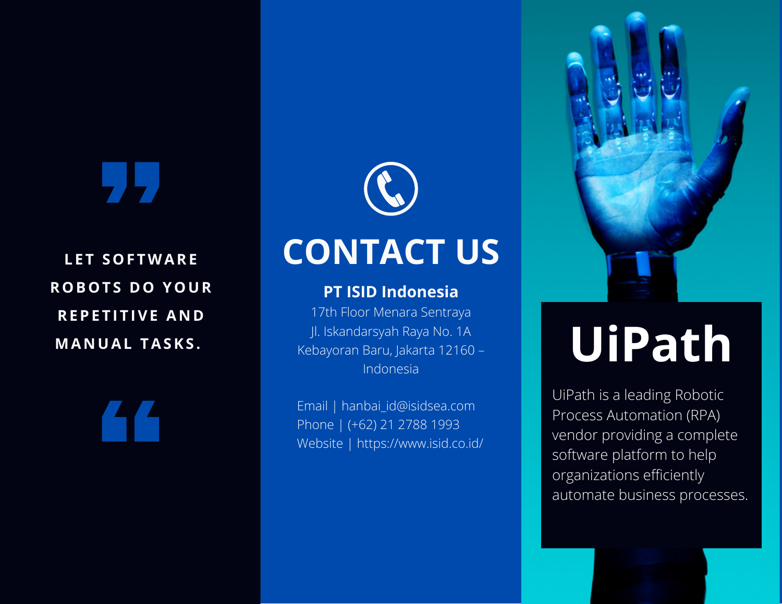**L E T SOF TWARE ROBOT S DO YOUR REPETITIVE AND MA N UAL TASKS .**



#### **PT ISID Indonesia**

17th Floor Menara Sentraya Jl. Iskandarsyah Raya No. 1A Kebayoran Baru, Jakarta 12160 – Indonesia

Email | hanbai\_id@isidsea.com Phone | (+62) 21 2788 1993 Website | https://www.isid.co.id/



# **UiPath**

UiPath is a leading Robotic Process Automation (RPA) vendor providing a complete software platform to help organizations efficiently automate business processes.